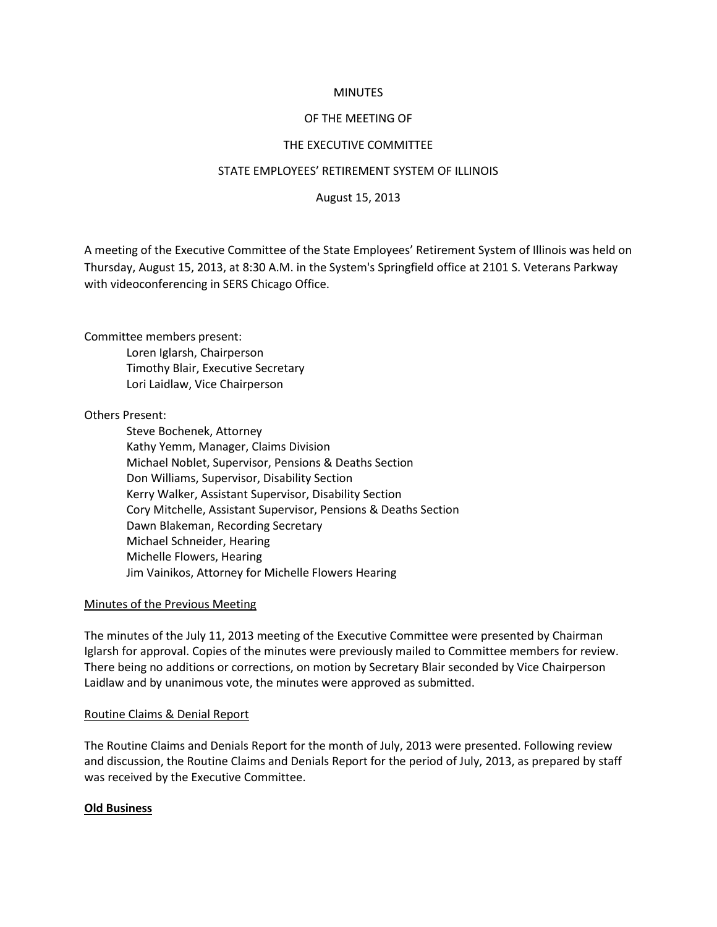# **MINUTES**

## OF THE MEETING OF

## THE EXECUTIVE COMMITTEE

## STATE EMPLOYEES' RETIREMENT SYSTEM OF ILLINOIS

August 15, 2013

A meeting of the Executive Committee of the State Employees' Retirement System of Illinois was held on Thursday, August 15, 2013, at 8:30 A.M. in the System's Springfield office at 2101 S. Veterans Parkway with videoconferencing in SERS Chicago Office.

Committee members present:

Loren Iglarsh, Chairperson Timothy Blair, Executive Secretary Lori Laidlaw, Vice Chairperson

## Others Present:

Steve Bochenek, Attorney Kathy Yemm, Manager, Claims Division Michael Noblet, Supervisor, Pensions & Deaths Section Don Williams, Supervisor, Disability Section Kerry Walker, Assistant Supervisor, Disability Section Cory Mitchelle, Assistant Supervisor, Pensions & Deaths Section Dawn Blakeman, Recording Secretary Michael Schneider, Hearing Michelle Flowers, Hearing Jim Vainikos, Attorney for Michelle Flowers Hearing

# Minutes of the Previous Meeting

The minutes of the July 11, 2013 meeting of the Executive Committee were presented by Chairman Iglarsh for approval. Copies of the minutes were previously mailed to Committee members for review. There being no additions or corrections, on motion by Secretary Blair seconded by Vice Chairperson Laidlaw and by unanimous vote, the minutes were approved as submitted.

## Routine Claims & Denial Report

The Routine Claims and Denials Report for the month of July, 2013 were presented. Following review and discussion, the Routine Claims and Denials Report for the period of July, 2013, as prepared by staff was received by the Executive Committee.

### **Old Business**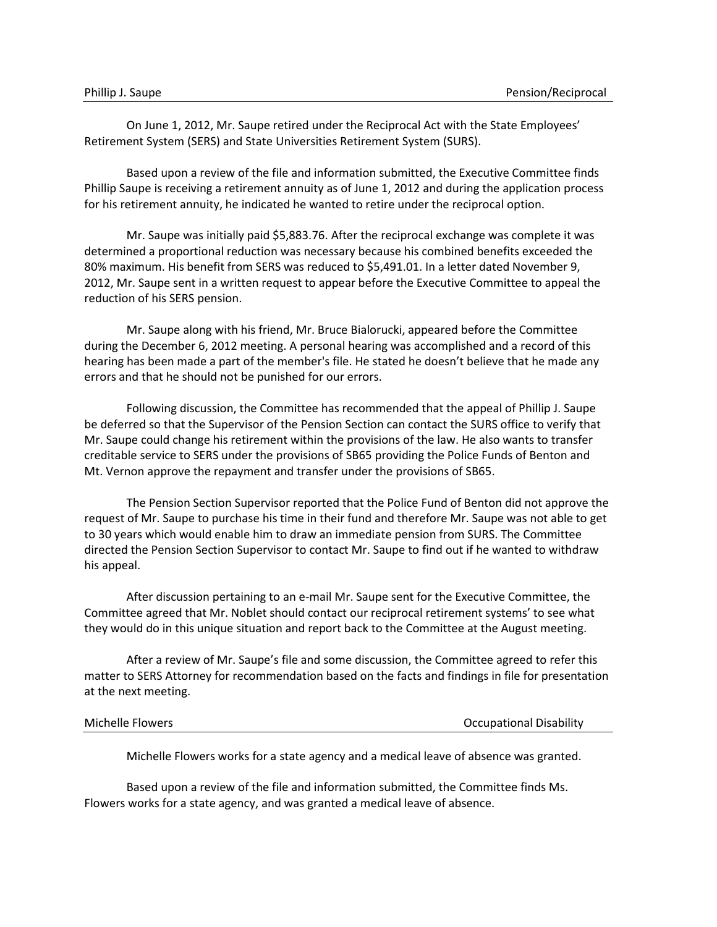On June 1, 2012, Mr. Saupe retired under the Reciprocal Act with the State Employees' Retirement System (SERS) and State Universities Retirement System (SURS).

Based upon a review of the file and information submitted, the Executive Committee finds Phillip Saupe is receiving a retirement annuity as of June 1, 2012 and during the application process for his retirement annuity, he indicated he wanted to retire under the reciprocal option.

Mr. Saupe was initially paid \$5,883.76. After the reciprocal exchange was complete it was determined a proportional reduction was necessary because his combined benefits exceeded the 80% maximum. His benefit from SERS was reduced to \$5,491.01. In a letter dated November 9, 2012, Mr. Saupe sent in a written request to appear before the Executive Committee to appeal the reduction of his SERS pension.

Mr. Saupe along with his friend, Mr. Bruce Bialorucki, appeared before the Committee during the December 6, 2012 meeting. A personal hearing was accomplished and a record of this hearing has been made a part of the member's file. He stated he doesn't believe that he made any errors and that he should not be punished for our errors.

Following discussion, the Committee has recommended that the appeal of Phillip J. Saupe be deferred so that the Supervisor of the Pension Section can contact the SURS office to verify that Mr. Saupe could change his retirement within the provisions of the law. He also wants to transfer creditable service to SERS under the provisions of SB65 providing the Police Funds of Benton and Mt. Vernon approve the repayment and transfer under the provisions of SB65.

The Pension Section Supervisor reported that the Police Fund of Benton did not approve the request of Mr. Saupe to purchase his time in their fund and therefore Mr. Saupe was not able to get to 30 years which would enable him to draw an immediate pension from SURS. The Committee directed the Pension Section Supervisor to contact Mr. Saupe to find out if he wanted to withdraw his appeal.

After discussion pertaining to an e-mail Mr. Saupe sent for the Executive Committee, the Committee agreed that Mr. Noblet should contact our reciprocal retirement systems' to see what they would do in this unique situation and report back to the Committee at the August meeting.

After a review of Mr. Saupe's file and some discussion, the Committee agreed to refer this matter to SERS Attorney for recommendation based on the facts and findings in file for presentation at the next meeting.

| Michelle Flowers | <b>Occupational Disability</b> |
|------------------|--------------------------------|
|------------------|--------------------------------|

Michelle Flowers works for a state agency and a medical leave of absence was granted.

Based upon a review of the file and information submitted, the Committee finds Ms. Flowers works for a state agency, and was granted a medical leave of absence.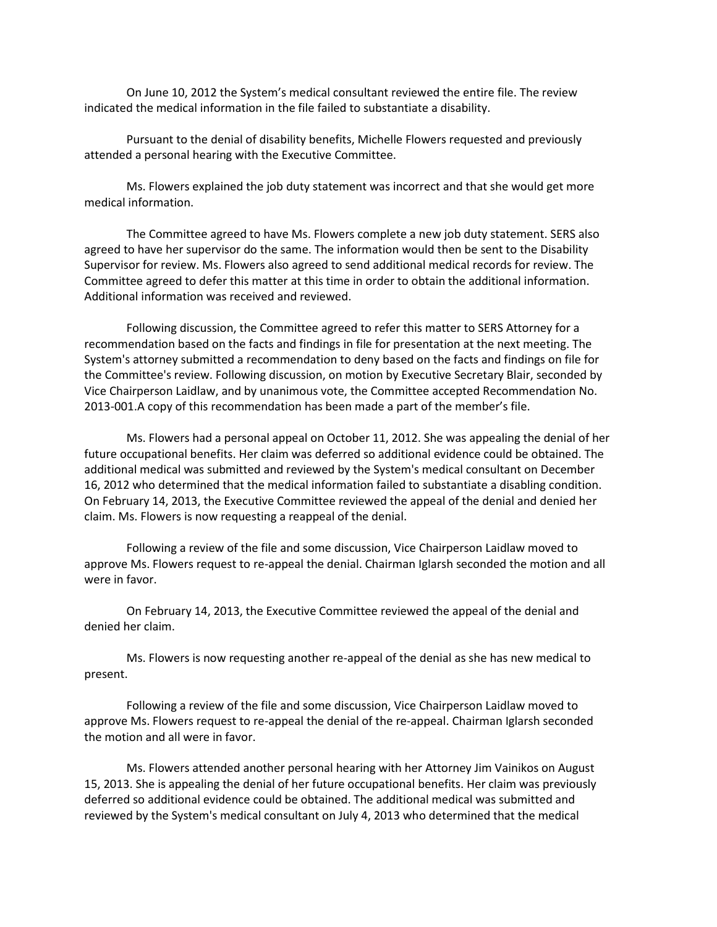On June 10, 2012 the System's medical consultant reviewed the entire file. The review indicated the medical information in the file failed to substantiate a disability.

Pursuant to the denial of disability benefits, Michelle Flowers requested and previously attended a personal hearing with the Executive Committee.

Ms. Flowers explained the job duty statement was incorrect and that she would get more medical information.

The Committee agreed to have Ms. Flowers complete a new job duty statement. SERS also agreed to have her supervisor do the same. The information would then be sent to the Disability Supervisor for review. Ms. Flowers also agreed to send additional medical records for review. The Committee agreed to defer this matter at this time in order to obtain the additional information. Additional information was received and reviewed.

Following discussion, the Committee agreed to refer this matter to SERS Attorney for a recommendation based on the facts and findings in file for presentation at the next meeting. The System's attorney submitted a recommendation to deny based on the facts and findings on file for the Committee's review. Following discussion, on motion by Executive Secretary Blair, seconded by Vice Chairperson Laidlaw, and by unanimous vote, the Committee accepted Recommendation No. 2013-001.A copy of this recommendation has been made a part of the member's file.

Ms. Flowers had a personal appeal on October 11, 2012. She was appealing the denial of her future occupational benefits. Her claim was deferred so additional evidence could be obtained. The additional medical was submitted and reviewed by the System's medical consultant on December 16, 2012 who determined that the medical information failed to substantiate a disabling condition. On February 14, 2013, the Executive Committee reviewed the appeal of the denial and denied her claim. Ms. Flowers is now requesting a reappeal of the denial.

Following a review of the file and some discussion, Vice Chairperson Laidlaw moved to approve Ms. Flowers request to re-appeal the denial. Chairman Iglarsh seconded the motion and all were in favor.

On February 14, 2013, the Executive Committee reviewed the appeal of the denial and denied her claim.

Ms. Flowers is now requesting another re-appeal of the denial as she has new medical to present.

Following a review of the file and some discussion, Vice Chairperson Laidlaw moved to approve Ms. Flowers request to re-appeal the denial of the re-appeal. Chairman Iglarsh seconded the motion and all were in favor.

Ms. Flowers attended another personal hearing with her Attorney Jim Vainikos on August 15, 2013. She is appealing the denial of her future occupational benefits. Her claim was previously deferred so additional evidence could be obtained. The additional medical was submitted and reviewed by the System's medical consultant on July 4, 2013 who determined that the medical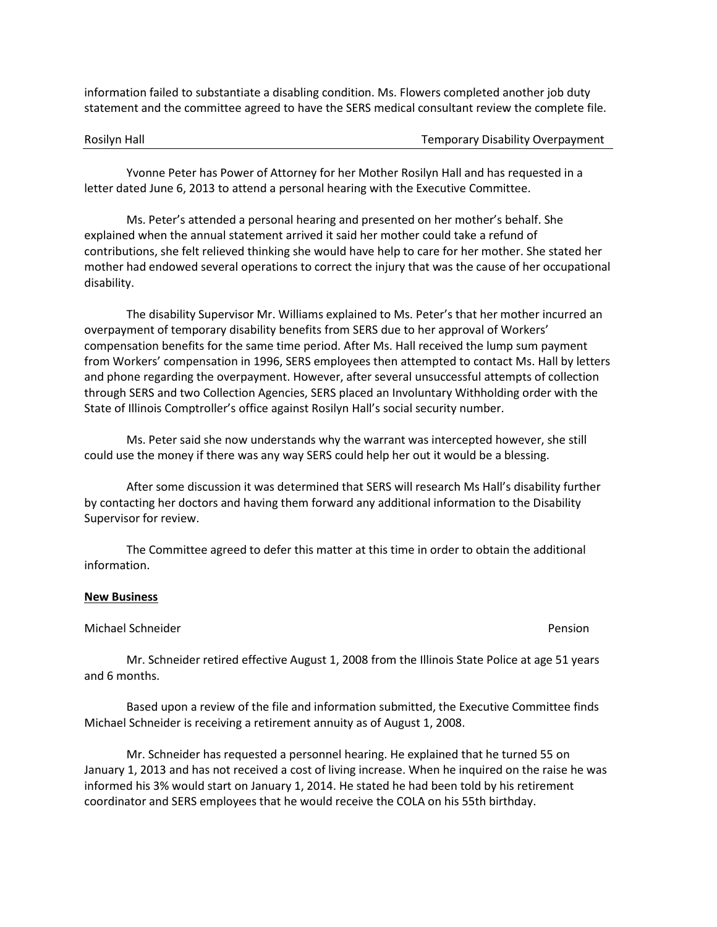information failed to substantiate a disabling condition. Ms. Flowers completed another job duty statement and the committee agreed to have the SERS medical consultant review the complete file.

Rosilyn Hall **Temporary Disability Overpayment** 

Yvonne Peter has Power of Attorney for her Mother Rosilyn Hall and has requested in a letter dated June 6, 2013 to attend a personal hearing with the Executive Committee.

Ms. Peter's attended a personal hearing and presented on her mother's behalf. She explained when the annual statement arrived it said her mother could take a refund of contributions, she felt relieved thinking she would have help to care for her mother. She stated her mother had endowed several operations to correct the injury that was the cause of her occupational disability.

The disability Supervisor Mr. Williams explained to Ms. Peter's that her mother incurred an overpayment of temporary disability benefits from SERS due to her approval of Workers' compensation benefits for the same time period. After Ms. Hall received the lump sum payment from Workers' compensation in 1996, SERS employees then attempted to contact Ms. Hall by letters and phone regarding the overpayment. However, after several unsuccessful attempts of collection through SERS and two Collection Agencies, SERS placed an Involuntary Withholding order with the State of Illinois Comptroller's office against Rosilyn Hall's social security number.

Ms. Peter said she now understands why the warrant was intercepted however, she still could use the money if there was any way SERS could help her out it would be a blessing.

After some discussion it was determined that SERS will research Ms Hall's disability further by contacting her doctors and having them forward any additional information to the Disability Supervisor for review.

The Committee agreed to defer this matter at this time in order to obtain the additional information.

### **New Business**

### Michael Schneider Pension

Mr. Schneider retired effective August 1, 2008 from the Illinois State Police at age 51 years and 6 months.

Based upon a review of the file and information submitted, the Executive Committee finds Michael Schneider is receiving a retirement annuity as of August 1, 2008.

Mr. Schneider has requested a personnel hearing. He explained that he turned 55 on January 1, 2013 and has not received a cost of living increase. When he inquired on the raise he was informed his 3% would start on January 1, 2014. He stated he had been told by his retirement coordinator and SERS employees that he would receive the COLA on his 55th birthday.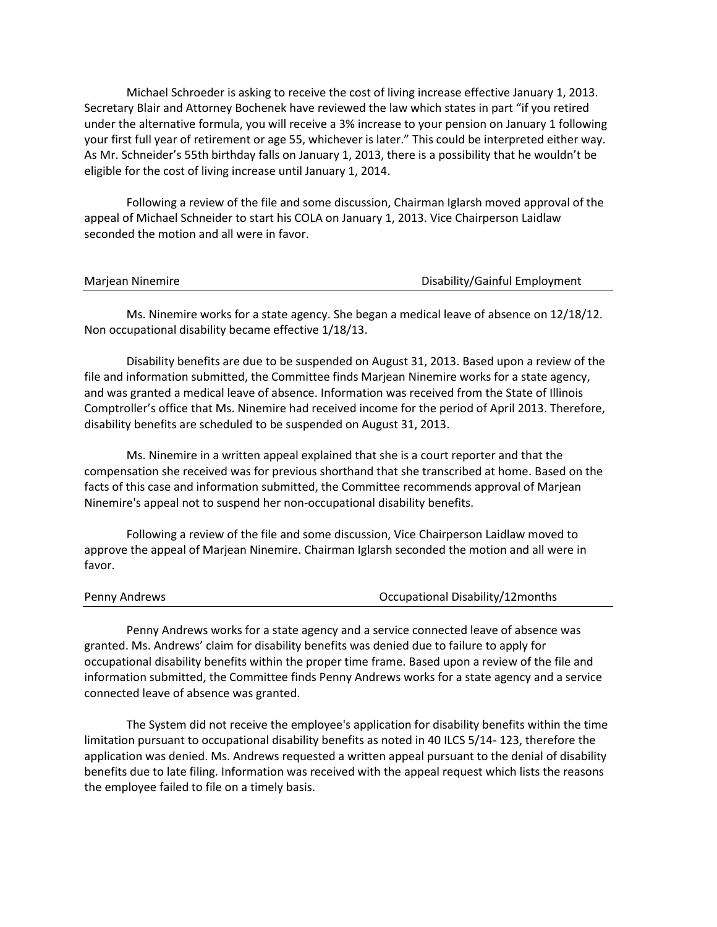Michael Schroeder is asking to receive the cost of living increase effective January 1, 2013. Secretary Blair and Attorney Bochenek have reviewed the law which states in part "if you retired under the alternative formula, you will receive a 3% increase to your pension on January 1 following your first full year of retirement or age 55, whichever is later." This could be interpreted either way. As Mr. Schneider's 55th birthday falls on January 1, 2013, there is a possibility that he wouldn't be eligible for the cost of living increase until January 1, 2014.

Following a review of the file and some discussion, Chairman Iglarsh moved approval of the appeal of Michael Schneider to start his COLA on January 1, 2013. Vice Chairperson Laidlaw seconded the motion and all were in favor.

Ms. Ninemire works for a state agency. She began a medical leave of absence on 12/18/12. Non occupational disability became effective 1/18/13.

Disability benefits are due to be suspended on August 31, 2013. Based upon a review of the file and information submitted, the Committee finds Marjean Ninemire works for a state agency, and was granted a medical leave of absence. Information was received from the State of Illinois Comptroller's office that Ms. Ninemire had received income for the period of April 2013. Therefore, disability benefits are scheduled to be suspended on August 31, 2013.

Ms. Ninemire in a written appeal explained that she is a court reporter and that the compensation she received was for previous shorthand that she transcribed at home. Based on the facts of this case and information submitted, the Committee recommends approval of Marjean Ninemire's appeal not to suspend her non-occupational disability benefits.

Following a review of the file and some discussion, Vice Chairperson Laidlaw moved to approve the appeal of Marjean Ninemire. Chairman Iglarsh seconded the motion and all were in favor.

| <b>Penny Andrews</b> | Occupational Disability/12months |
|----------------------|----------------------------------|
|                      |                                  |

Penny Andrews works for a state agency and a service connected leave of absence was granted. Ms. Andrews' claim for disability benefits was denied due to failure to apply for occupational disability benefits within the proper time frame. Based upon a review of the file and information submitted, the Committee finds Penny Andrews works for a state agency and a service connected leave of absence was granted.

The System did not receive the employee's application for disability benefits within the time limitation pursuant to occupational disability benefits as noted in 40 ILCS 5/14- 123, therefore the application was denied. Ms. Andrews requested a written appeal pursuant to the denial of disability benefits due to late filing. Information was received with the appeal request which lists the reasons the employee failed to file on a timely basis.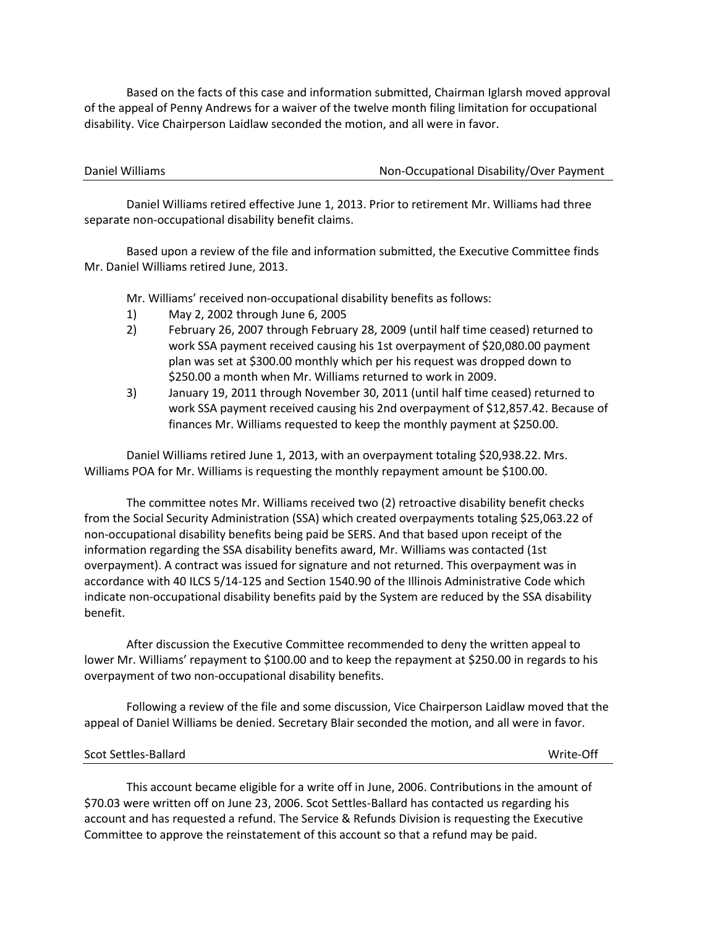Based on the facts of this case and information submitted, Chairman Iglarsh moved approval of the appeal of Penny Andrews for a waiver of the twelve month filing limitation for occupational disability. Vice Chairperson Laidlaw seconded the motion, and all were in favor.

| Daniel Williams | Non-Occupational Disability/Over Payment |
|-----------------|------------------------------------------|
|                 |                                          |

Daniel Williams retired effective June 1, 2013. Prior to retirement Mr. Williams had three separate non-occupational disability benefit claims.

Based upon a review of the file and information submitted, the Executive Committee finds Mr. Daniel Williams retired June, 2013.

Mr. Williams' received non-occupational disability benefits as follows:

- 1) May 2, 2002 through June 6, 2005
- 2) February 26, 2007 through February 28, 2009 (until half time ceased) returned to work SSA payment received causing his 1st overpayment of \$20,080.00 payment plan was set at \$300.00 monthly which per his request was dropped down to \$250.00 a month when Mr. Williams returned to work in 2009.
- 3) January 19, 2011 through November 30, 2011 (until half time ceased) returned to work SSA payment received causing his 2nd overpayment of \$12,857.42. Because of finances Mr. Williams requested to keep the monthly payment at \$250.00.

Daniel Williams retired June 1, 2013, with an overpayment totaling \$20,938.22. Mrs. Williams POA for Mr. Williams is requesting the monthly repayment amount be \$100.00.

The committee notes Mr. Williams received two (2) retroactive disability benefit checks from the Social Security Administration (SSA) which created overpayments totaling \$25,063.22 of non-occupational disability benefits being paid be SERS. And that based upon receipt of the information regarding the SSA disability benefits award, Mr. Williams was contacted (1st overpayment). A contract was issued for signature and not returned. This overpayment was in accordance with 40 ILCS 5/14-125 and Section 1540.90 of the Illinois Administrative Code which indicate non-occupational disability benefits paid by the System are reduced by the SSA disability benefit.

After discussion the Executive Committee recommended to deny the written appeal to lower Mr. Williams' repayment to \$100.00 and to keep the repayment at \$250.00 in regards to his overpayment of two non-occupational disability benefits.

Following a review of the file and some discussion, Vice Chairperson Laidlaw moved that the appeal of Daniel Williams be denied. Secretary Blair seconded the motion, and all were in favor.

# Scot Settles-Ballard Write-Off

This account became eligible for a write off in June, 2006. Contributions in the amount of \$70.03 were written off on June 23, 2006. Scot Settles-Ballard has contacted us regarding his account and has requested a refund. The Service & Refunds Division is requesting the Executive Committee to approve the reinstatement of this account so that a refund may be paid.